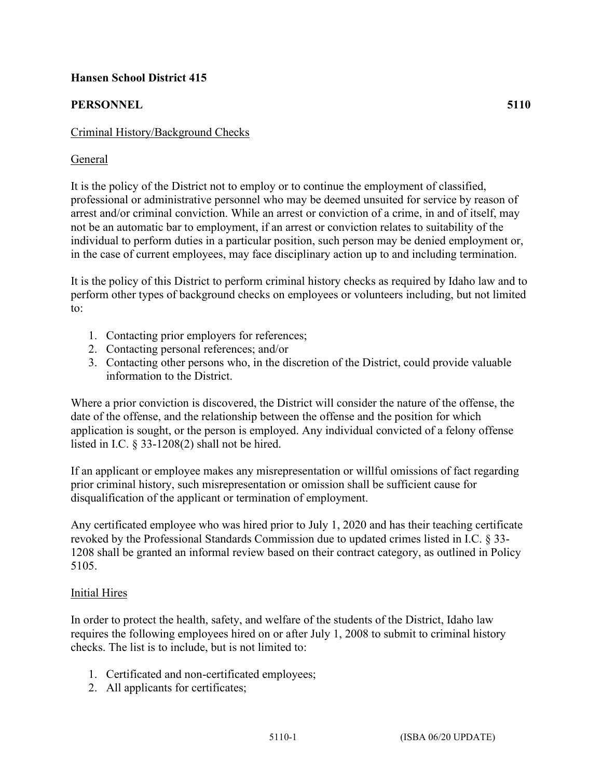# **Hansen School District 415**

# **PERSONNEL 5110**

### General

It is the policy of the District not to employ or to continue the employment of classified, professional or administrative personnel who may be deemed unsuited for service by reason of arrest and/or criminal conviction. While an arrest or conviction of a crime, in and of itself, may not be an automatic bar to employment, if an arrest or conviction relates to suitability of the individual to perform duties in a particular position, such person may be denied employment or, in the case of current employees, may face disciplinary action up to and including termination.

It is the policy of this District to perform criminal history checks as required by Idaho law and to perform other types of background checks on employees or volunteers including, but not limited to:

- 1. Contacting prior employers for references;
- 2. Contacting personal references; and/or
- 3. Contacting other persons who, in the discretion of the District, could provide valuable information to the District.

Where a prior conviction is discovered, the District will consider the nature of the offense, the date of the offense, and the relationship between the offense and the position for which application is sought, or the person is employed. Any individual convicted of a felony offense listed in I.C. § 33-1208(2) shall not be hired.

If an applicant or employee makes any misrepresentation or willful omissions of fact regarding prior criminal history, such misrepresentation or omission shall be sufficient cause for disqualification of the applicant or termination of employment.

Any certificated employee who was hired prior to July 1, 2020 and has their teaching certificate revoked by the Professional Standards Commission due to updated crimes listed in I.C. § 33- 1208 shall be granted an informal review based on their contract category, as outlined in Policy 5105.

#### Initial Hires

In order to protect the health, safety, and welfare of the students of the District, Idaho law requires the following employees hired on or after July 1, 2008 to submit to criminal history checks. The list is to include, but is not limited to:

- 1. Certificated and non-certificated employees;
- 2. All applicants for certificates;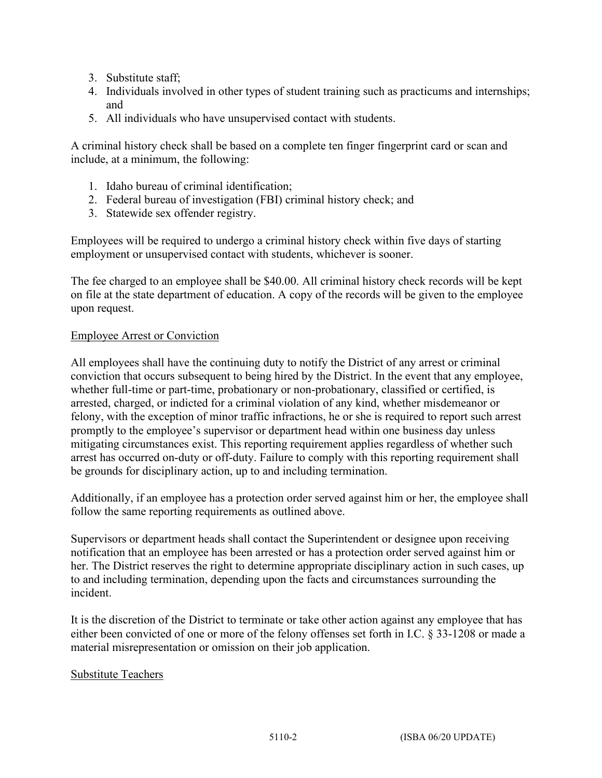- 3. Substitute staff;
- 4. Individuals involved in other types of student training such as practicums and internships; and
- 5. All individuals who have unsupervised contact with students.

A criminal history check shall be based on a complete ten finger fingerprint card or scan and include, at a minimum, the following:

- 1. Idaho bureau of criminal identification;
- 2. Federal bureau of investigation (FBI) criminal history check; and
- 3. Statewide sex offender registry.

Employees will be required to undergo a criminal history check within five days of starting employment or unsupervised contact with students, whichever is sooner.

The fee charged to an employee shall be \$40.00. All criminal history check records will be kept on file at the state department of education. A copy of the records will be given to the employee upon request.

# Employee Arrest or Conviction

All employees shall have the continuing duty to notify the District of any arrest or criminal conviction that occurs subsequent to being hired by the District. In the event that any employee, whether full-time or part-time, probationary or non-probationary, classified or certified, is arrested, charged, or indicted for a criminal violation of any kind, whether misdemeanor or felony, with the exception of minor traffic infractions, he or she is required to report such arrest promptly to the employee's supervisor or department head within one business day unless mitigating circumstances exist. This reporting requirement applies regardless of whether such arrest has occurred on-duty or off-duty. Failure to comply with this reporting requirement shall be grounds for disciplinary action, up to and including termination.

Additionally, if an employee has a protection order served against him or her, the employee shall follow the same reporting requirements as outlined above.

Supervisors or department heads shall contact the Superintendent or designee upon receiving notification that an employee has been arrested or has a protection order served against him or her. The District reserves the right to determine appropriate disciplinary action in such cases, up to and including termination, depending upon the facts and circumstances surrounding the incident.

It is the discretion of the District to terminate or take other action against any employee that has either been convicted of one or more of the felony offenses set forth in I.C. § 33-1208 or made a material misrepresentation or omission on their job application.

# Substitute Teachers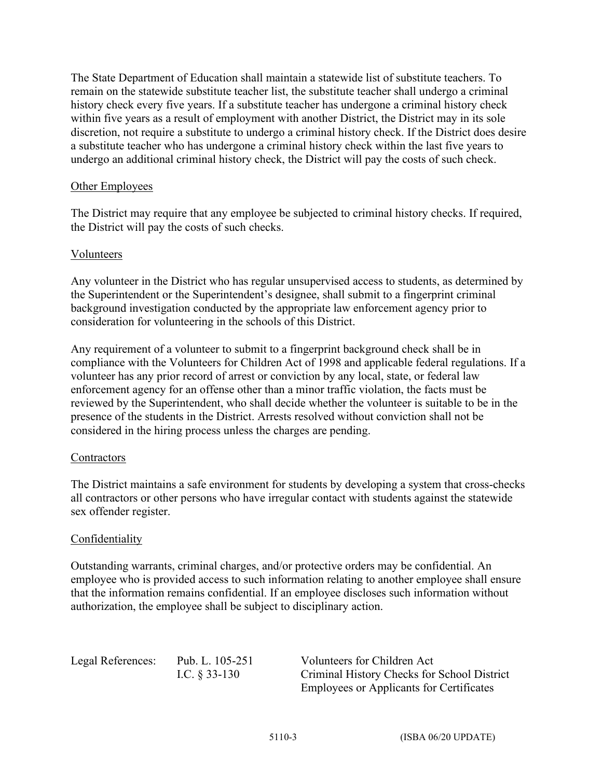The State Department of Education shall maintain a statewide list of substitute teachers. To remain on the statewide substitute teacher list, the substitute teacher shall undergo a criminal history check every five years. If a substitute teacher has undergone a criminal history check within five years as a result of employment with another District, the District may in its sole discretion, not require a substitute to undergo a criminal history check. If the District does desire a substitute teacher who has undergone a criminal history check within the last five years to undergo an additional criminal history check, the District will pay the costs of such check.

#### Other Employees

The District may require that any employee be subjected to criminal history checks. If required, the District will pay the costs of such checks.

#### Volunteers

Any volunteer in the District who has regular unsupervised access to students, as determined by the Superintendent or the Superintendent's designee, shall submit to a fingerprint criminal background investigation conducted by the appropriate law enforcement agency prior to consideration for volunteering in the schools of this District.

Any requirement of a volunteer to submit to a fingerprint background check shall be in compliance with the Volunteers for Children Act of 1998 and applicable federal regulations. If a volunteer has any prior record of arrest or conviction by any local, state, or federal law enforcement agency for an offense other than a minor traffic violation, the facts must be reviewed by the Superintendent, who shall decide whether the volunteer is suitable to be in the presence of the students in the District. Arrests resolved without conviction shall not be considered in the hiring process unless the charges are pending.

#### **Contractors**

The District maintains a safe environment for students by developing a system that cross-checks all contractors or other persons who have irregular contact with students against the statewide sex offender register.

# Confidentiality

Outstanding warrants, criminal charges, and/or protective orders may be confidential. An employee who is provided access to such information relating to another employee shall ensure that the information remains confidential. If an employee discloses such information without authorization, the employee shall be subject to disciplinary action.

Legal References: Pub. L. 105-251 Volunteers for Children Act I.C. § 33-130 Criminal History Checks for School District Employees or Applicants for Certificates